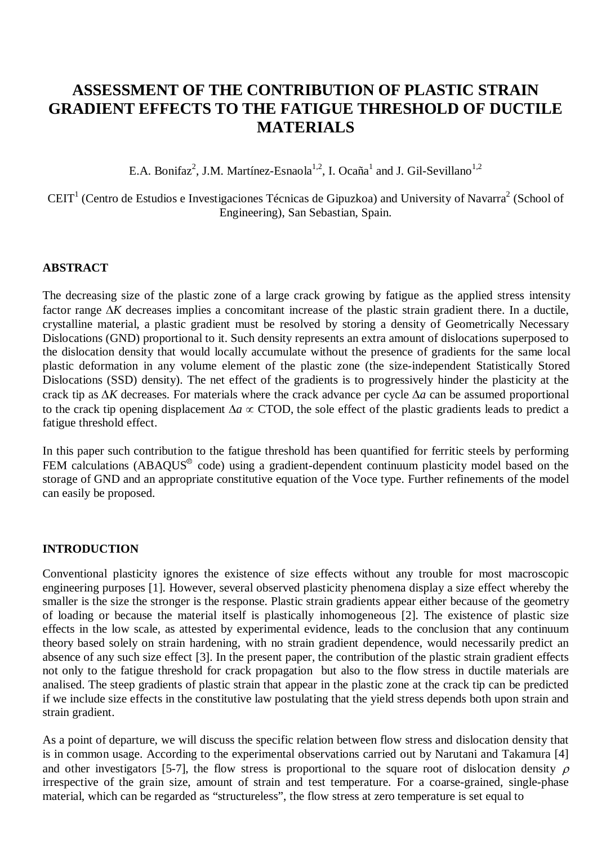# **ASSESSMENT OF THE CONTRIBUTION OF PLASTIC STRAIN GRADIENT EFFECTS TO THE FATIGUE THRESHOLD OF DUCTILE MATERIALS**

E.A. Bonifaz<sup>2</sup>, J.M. Martínez-Esnaola<sup>1,2</sup>, I. Ocaña<sup>1</sup> and J. Gil-Sevillano<sup>1,2</sup>

CEIT<sup>1</sup> (Centro de Estudios e Investigaciones Técnicas de Gipuzkoa) and University of Navarra<sup>2</sup> (School of Engineering), San Sebastian, Spain.

## **ABSTRACT**

The decreasing size of the plastic zone of a large crack growing by fatigue as the applied stress intensity factor range  $\Delta K$  decreases implies a concomitant increase of the plastic strain gradient there. In a ductile, crystalline material, a plastic gradient must be resolved by storing a density of Geometrically Necessary Dislocations (GND) proportional to it. Such density represents an extra amount of dislocations superposed to the dislocation density that would locally accumulate without the presence of gradients for the same local plastic deformation in any volume element of the plastic zone (the size-independent Statistically Stored Dislocations (SSD) density). The net effect of the gradients is to progressively hinder the plasticity at the crack tip as  $\Delta K$  decreases. For materials where the crack advance per cycle  $\Delta a$  can be assumed proportional to the crack tip opening displacement  $\Delta a \propto$  CTOD, the sole effect of the plastic gradients leads to predict a fatigue threshold effect.

In this paper such contribution to the fatigue threshold has been quantified for ferritic steels by performing FEM calculations (ABAQUS<sup>®</sup> code) using a gradient-dependent continuum plasticity model based on the storage of GND and an appropriate constitutive equation of the Voce type. Further refinements of the model can easily be proposed.

## **INTRODUCTION**

Conventional plasticity ignores the existence of size effects without any trouble for most macroscopic engineering purposes [1]. However, several observed plasticity phenomena display a size effect whereby the smaller is the size the stronger is the response. Plastic strain gradients appear either because of the geometry of loading or because the material itself is plastically inhomogeneous [2]. The existence of plastic size effects in the low scale, as attested by experimental evidence, leads to the conclusion that any continuum theory based solely on strain hardening, with no strain gradient dependence, would necessarily predict an absence of any such size effect [3]. In the present paper, the contribution of the plastic strain gradient effects not only to the fatigue threshold for crack propagation but also to the flow stress in ductile materials are analised. The steep gradients of plastic strain that appear in the plastic zone at the crack tip can be predicted if we include size effects in the constitutive law postulating that the yield stress depends both upon strain and strain gradient.

As a point of departure, we will discuss the specific relation between flow stress and dislocation density that is in common usage. According to the experimental observations carried out by Narutani and Takamura [4] and other investigators [5-7], the flow stress is proportional to the square root of dislocation density  $\rho$ irrespective of the grain size, amount of strain and test temperature. For a coarse-grained, single-phase material, which can be regarded as "structureless", the flow stress at zero temperature is set equal to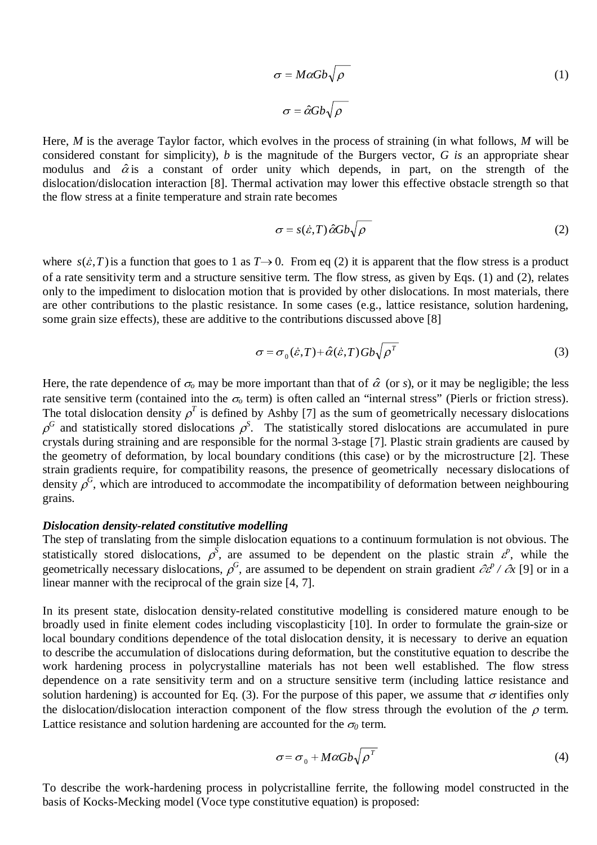$$
\sigma = M\alpha Gb\sqrt{\rho}
$$
\n
$$
\sigma = \hat{\alpha}Gb\sqrt{\rho}
$$
\n(1)

Here, *M* is the average Taylor factor, which evolves in the process of straining (in what follows, *M* will be considered constant for simplicity), *b* is the magnitude of the Burgers vector, *G is* an appropriate shear modulus and  $\hat{\alpha}$  is a constant of order unity which depends, in part, on the strength of the dislocation/dislocation interaction [8]. Thermal activation may lower this effective obstacle strength so that the flow stres dislocation/dislocation interaction [8]. Thermal activation may lower this effective obstacle strength so that the flow stress at a finite temperature and strain rate becomes

$$
\sigma = s(\dot{\varepsilon}, T) \hat{\alpha} G b \sqrt{\rho} \tag{2}
$$

where  $s(\varepsilon, T)$  is a function that goes to 1 as  $T \to 0$ . From eq (2) it is apparent that the flow stress is a product of a rate sensitivity term and a structure sensitive term. The flow stress, as given by Eqs. (1) and (2), relates only to the impediment to dislocation motion that is provided by other dislocations. In most materials, there are other contributions to the plastic resistance. In some cases (e.g., lattice resistance, solution hardening, some grain size effects), these are additive to the contributions discussed above [8] In that is provided by other dislocations. In most materials, there<br>ance. In some cases (e.g., lattice resistance, solution hardening,<br>b the contributions discussed above [8]<br> $\sigma = \sigma_0(\dot{\varepsilon}, T) + \hat{\alpha}(\dot{\varepsilon}, T)Gb\sqrt{\rho^T}$  (3)

$$
\sigma = \sigma_0(\dot{\varepsilon}, T) + \hat{\alpha}(\dot{\varepsilon}, T) G b \sqrt{\rho^T}
$$
\n(3)

Here, the rate dependence of  $\sigma_0$  may be more important than that of  $\hat{\alpha}$  (or *s*), or it may be negligible; the less rate sensitive term (contained into the  $\sigma_0$  term) is often called an "internal stress" (Pierls or friction stress). The total dislocation density  $\rho^T$  is defined by Ashby [7] as the sum of geometrically necessary dislocations  $\rho^G$  and statistically stored dislocations  $\rho^S$ . The statistically stored dislocations are accumulated in pure crystals during straining and are responsible for the normal 3-stage [7]. Plastic strain gradients are caused by the geometry of deformation, by local boundary conditions (this case) or by the microstructure [2]. These strain gradients require, for compatibility reasons, the presence of geometrically necessary dislocations of density  $\rho^G$ , which are introduced to accommodate the incompatibility of deformation between neighbouring grains.

### *Dislocation density-related constitutive modelling*

The step of translating from the simple dislocation equations to a continuum formulation is not obvious. The statistically stored dislocations,  $\rho^S$ , are assumed to be dependent on the plastic strain  $\varepsilon^p$ , while the geometrically necessary dislocations,  $\rho^G$ , are assumed to be dependent on strain gradient  $\partial \mathcal{E}^P / \partial x$  [9] or in a linear manner with the reciprocal of the grain size [4, 7].

In its present state, dislocation density-related constitutive modelling is considered mature enough to be broadly used in finite element codes including viscoplasticity [10]. In order to formulate the grain-size or local boundary conditions dependence of the total dislocation density, it is necessary to derive an equation to describe the accumulation of dislocations during deformation, but the constitutive equation to describe the work hardening process in polycrystalline materials has not been well established. The flow stress dependence on a rate sensitivity term and on a structure sensitive term (including lattice resistance and solution hardening) is accounted for Eq. (3). For the purpose of this paper, we assume that  $\sigma$  identifies only the dislocation/dislocation interaction component of the flow stress through the evolution of the  $\rho$  term. Lattice resistance and solution hardening are accounted for the  $\sigma_0$  term.

$$
\sigma = \sigma_0 + M\alpha G b \sqrt{\rho^T} \tag{4}
$$

To describe the work-hardening process in polycristalline ferrite, the following model constructed in the basis of Kocks-Mecking model (Voce type constitutive equation) is proposed: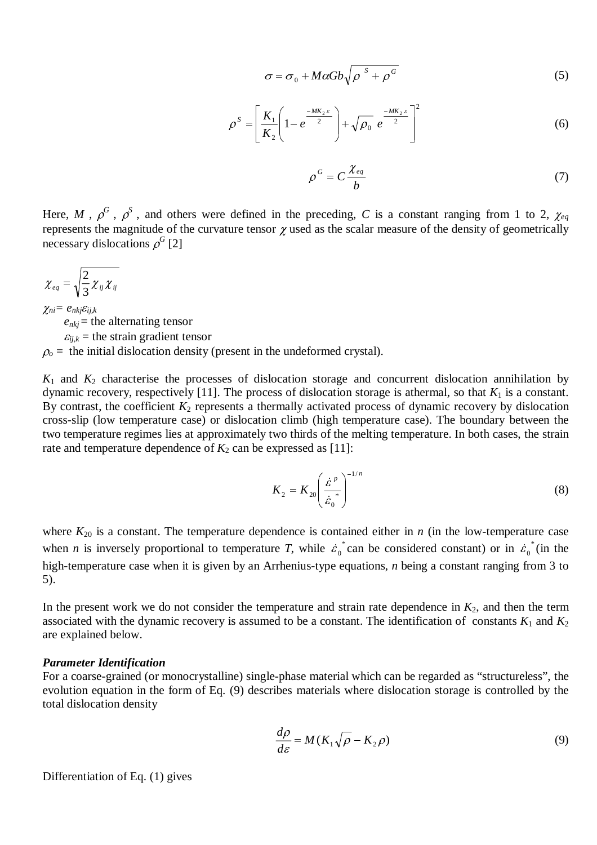$$
\sigma = \sigma_0 + M\alpha Gb\sqrt{\rho^s + \rho^G}
$$
\n
$$
U_s \left(1 - \frac{MK_s \varepsilon}{\rho}\right)^{-1/2} = -MK_s \varepsilon^{-1/2}
$$
\n(5)

$$
\rho^{S} = \left[\frac{K_{1}}{K_{2}}\left(1 - e^{\frac{-MK_{2}S}{2}}\right) + \sqrt{\rho_{0}} e^{\frac{-MK_{2}S}{2}}\right]^{2}
$$
(6)

$$
\rho^G = C \frac{\chi_{eq}}{b} \tag{7}
$$

Here, M,  $\rho^G$ ,  $\rho^S$ , and others were defined in the preceding, C is a constant ranging from 1 to 2,  $\chi_{eq}$ represents the magnitude of the curvature tensor  $\chi$  used as the scalar measure of the density of geometrically necessary dislocations  $\rho^G$  [2]

$$
\chi_{eq} = \sqrt{\frac{2}{3} \chi_{ij} \chi_{ij}}
$$

 $\chi_{ni}=e_{nkj}\varepsilon_{ij,k}$  $e_{nk}$  = the alternating tensor  $\varepsilon_{ijk}$  = the strain gradient tensor  $\rho_o$  = the initial dislocation density (present in the undeformed crystal).

 $K_1$  and  $K_2$  characterise the processes of dislocation storage and concurrent dislocation annihilation by dynamic recovery, respectively [11]. The process of dislocation storage is athermal, so that  $K_1$  is a constant. By contrast, the coefficient  $K_2$  represents a thermally activated process of dynamic recovery by dislocation cross-slip (low temperature case) or dislocation climb (high temperature case). The boundary between the two temperature regimes lies at approximately two thirds of the melting temperature. In both cases, the strain rate and temperature dependence of  $K_2$  can be expressed as [11]:

$$
K_2 = K_{20} \left(\frac{\dot{\varepsilon}^p}{\dot{\varepsilon}_0^*}\right)^{-1/n} \tag{8}
$$

where  $K_{20}$  is a constant. The temperature dependence is contained either in *n* (in the low-temperature case  $K_2 = K_{20} \left( \frac{\dot{\varepsilon}^p}{\dot{\varepsilon}_0^*} \right)$  (8)<br>where  $K_{20}$  is a constant. The temperature dependence is contained either in *n* (in the low-temperature case<br>when *n* is inversely proportional to temperature *T*, while  $\dot$ high-temperature case when it is given by an Arrhenius-type equations, *n* being a constant ranging from 3 to 5).

In the present work we do not consider the temperature and strain rate dependence in  $K_2$ , and then the term associated with the dynamic recovery is assumed to be a constant. The identification of constants  $K_1$  and  $K_2$ are explained below.

#### *Parameter Identification*

For a coarse-grained (or monocrystalline) single-phase material which can be regarded as "structureless", the evolution equation in the form of Eq. (9) describes materials where dislocation storage is controlled by the total dislocation density

$$
\frac{d\rho}{d\varepsilon} = M(K_1\sqrt{\rho} - K_2\rho) \tag{9}
$$

Differentiation of Eq. (1) gives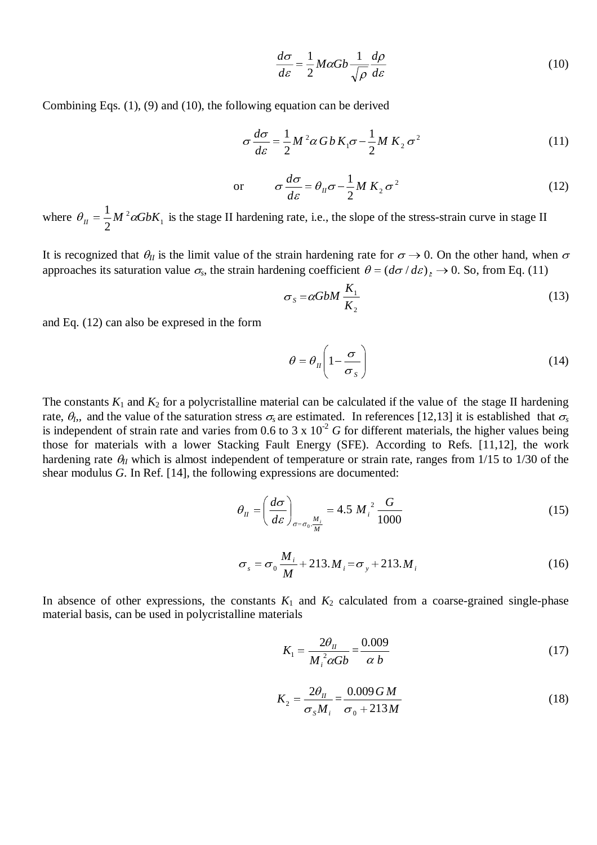$$
\frac{d\sigma}{d\varepsilon} = \frac{1}{2} M \alpha G b \frac{1}{\sqrt{\rho}} \frac{d\rho}{d\varepsilon}
$$
(10)

Combining Eqs. (1), (9) and (10), the following equation can be derived

$$
\sigma \frac{d\sigma}{d\varepsilon} = \frac{1}{2} M^2 \alpha G b K_1 \sigma - \frac{1}{2} M K_2 \sigma^2
$$
 (11)

or 
$$
\sigma \frac{d\sigma}{d\varepsilon} = \theta_{II} \sigma - \frac{1}{2} M K_2 \sigma^2
$$
 (12)

where  $\theta_{II} = \frac{1}{2} M^2 \alpha G b K_1$  $\theta_{II} = \frac{1}{2} M^2 \alpha G b K_1$  is the stage II hardening rate, i.e., the slope of the stress-strain curve in stage II

It is recognized that  $\theta_{II}$  is the limit value of the strain hardening rate for  $\sigma \to 0$ . On the other hand, when  $\sigma$ approaches its saturation value  $\sigma_s$ , the strain hardening coefficient  $\theta = (d\sigma / d\varepsilon)_s \to 0$ . So, from Eq. (11)

$$
\sigma_s = \alpha G b M \frac{K_1}{K_2} \tag{13}
$$

and Eq. (12) can also be expresed in the form

$$
\theta = \theta_{II} \left( 1 - \frac{\sigma}{\sigma_s} \right) \tag{14}
$$

The constants  $K_1$  and  $K_2$  for a polycristalline material can be calculated if the value of the stage II hardening rate,  $\theta_b$ , and the value of the saturation stress  $\sigma_s$  are estimated. In references [12,13] it is established that  $\sigma_s$ is independent of strain rate and varies from 0.6 to 3 x  $10^{-2}$  *G* for different materials, the higher values being those for materials with a lower Stacking Fault Energy (SFE). According to Refs. [11,12], the work hardening rate  $\theta_{II}$  which is almost independent of temperature or strain rate, ranges from 1/15 to 1/30 of the shear modulus *G*. In Ref. [14], the following expressions are documented:

$$
\theta_{II} = \left(\frac{d\sigma}{d\varepsilon}\right)_{\sigma = \sigma_0 \cdot \frac{M_i}{M}} = 4.5 M_i^2 \frac{G}{1000}
$$
\n(15)

$$
\sigma_s = \sigma_0 \frac{M_i}{M} + 213.M_i = \sigma_y + 213.M_i
$$
\n(16)

In absence of other expressions, the constants  $K_1$  and  $K_2$  calculated from a coarse-grained single-phase material basis, can be used in polycristalline materials

$$
K_1 = \frac{2\theta_{II}}{M_i^2 \alpha G b} = \frac{0.009}{\alpha b} \tag{17}
$$

$$
K_2 = \frac{2\theta_{II}}{\sigma_s M_i} = \frac{0.009 \, GM}{\sigma_0 + 213 \, M}
$$
\n(18)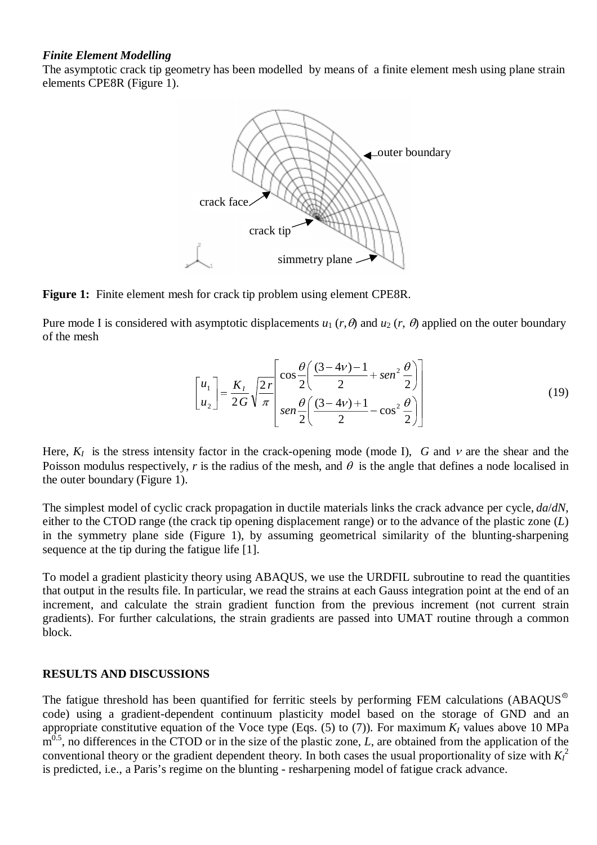## *Finite Element Modelling*

The asymptotic crack tip geometry has been modelled by means of a finite element mesh using plane strain elements CPE8R (Figure 1).



Figure 1: Finite element mesh for crack tip problem using element CPE8R.

Pure mode I is considered with asymptotic displacements  $u_1$  ( $r, \theta$ ) and  $u_2$  ( $r, \theta$ ) applied on the outer boundary of the mesh

$$
\begin{bmatrix} u_1 \\ u_2 \end{bmatrix} = \frac{K_1}{2G} \sqrt{\frac{2r}{\pi}} \begin{bmatrix} \cos\frac{\theta}{2} \left( \frac{(3-4\nu)-1}{2} + \sin^2\frac{\theta}{2} \right) \\ \sin\frac{\theta}{2} \left( \frac{(3-4\nu)+1}{2} - \cos^2\frac{\theta}{2} \right) \end{bmatrix}
$$
(19)

Here,  $K_I$  is the stress intensity factor in the crack-opening mode (mode I), *G* and  $V$  are the shear and the Poisson modulus respectively, *r* is the radius of the mesh, and  $\theta$  is the angle that defines a node localised in the outer boundary (Figure 1).

The simplest model of cyclic crack propagation in ductile materials links the crack advance per cycle, *da*/*dN*, either to the CTOD range (the crack tip opening displacement range) or to the advance of the plastic zone (*L*) in the symmetry plane side (Figure 1), by assuming geometrical similarity of the blunting-sharpening sequence at the tip during the fatigue life [1].

To model a gradient plasticity theory using ABAQUS, we use the URDFIL subroutine to read the quantities that output in the results file. In particular, we read the strains at each Gauss integration point at the end of an increment, and calculate the strain gradient function from the previous increment (not current strain gradients). For further calculations, the strain gradients are passed into UMAT routine through a common block.

## **RESULTS AND DISCUSSIONS**

The fatigue threshold has been quantified for ferritic steels by performing FEM calculations (ABAQUS $^{\circ}$ code) using a gradient-dependent continuum plasticity model based on the storage of GND and an appropriate constitutive equation of the Voce type (Eqs.  $(5)$  to  $(7)$ ). For maximum  $K_I$  values above 10 MPa m<sup>0.5</sup>, no differences in the CTOD or in the size of the plastic zone, *L*, are obtained from the application of the conventional theory or the gradient dependent theory. In both cases the usual proportionality of size with  $K_I^2$ is predicted, i.e., a Paris's regime on the blunting - resharpening model of fatigue crack advance.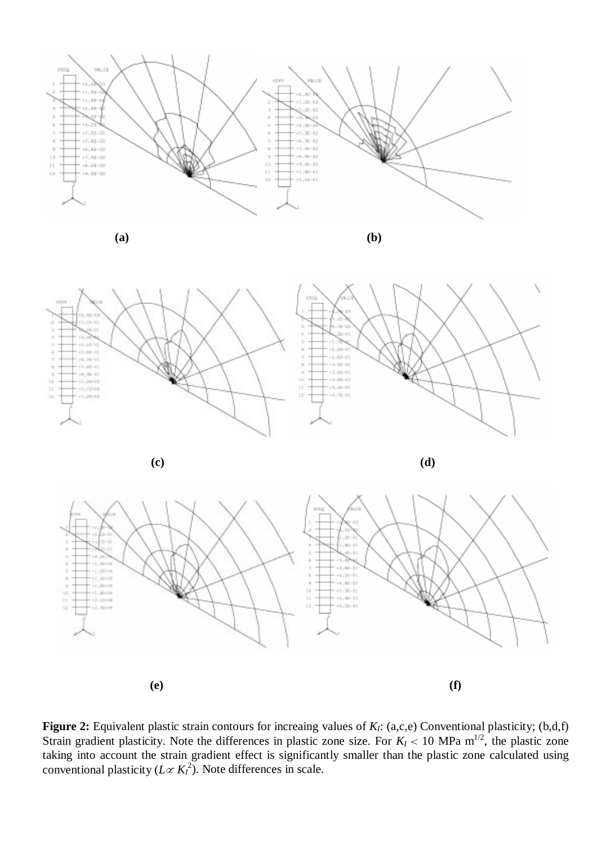

**(a) (b)**

**Jessie** 

11/810

 $+1.80 - 00$ 

 $+1.00 - 00$ 

 $+2.12 + 10$ 

ab, main



Figure 2: Equivalent plastic strain contours for increaing values of *K<sub>I</sub>*: (a,c,e) Conventional plasticity; (b,d,f) Strain gradient plasticity. Note the differences in plastic zone size. For  $K_I < 10$  MPa m<sup>1/2</sup>, the plastic zone taking into account the strain gradient effect is significantly smaller than the plastic zone calculated using conventional plasticity  $(L \propto K_I^2)$ . Note differences in scale.

**(e) (f)**

 $\,$  1

 $\bar{ }$ 

 $\begin{array}{c} 11 \\ 11 \end{array}$ 

11

 $+4.28 - 11$ 

 $+4.402 - 0.0$ 

 $-45.30 - 11$ 

 $+5.10 - 0.1$ 

 $+6.30 - 11$